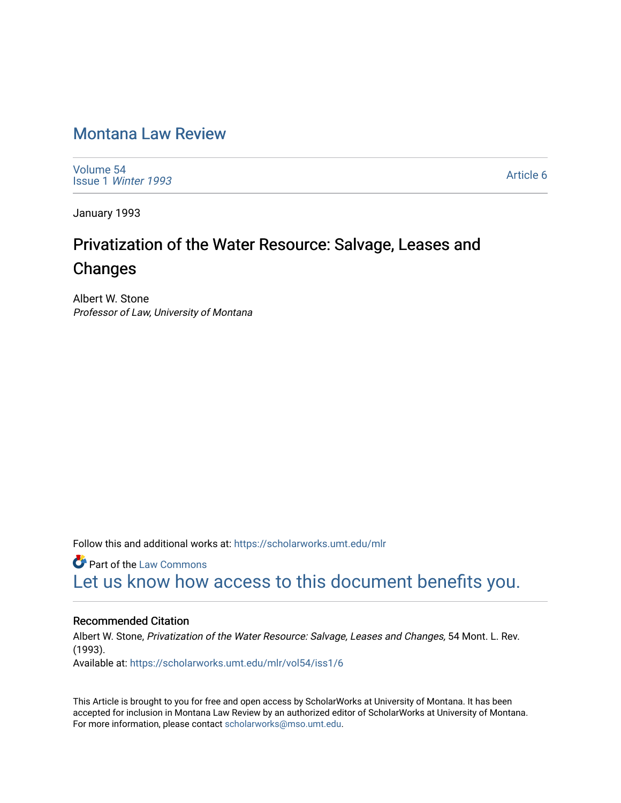## [Montana Law Review](https://scholarworks.umt.edu/mlr)

[Volume 54](https://scholarworks.umt.edu/mlr/vol54) Issue 1 [Winter 1993](https://scholarworks.umt.edu/mlr/vol54/iss1) 

[Article 6](https://scholarworks.umt.edu/mlr/vol54/iss1/6) 

January 1993

# Privatization of the Water Resource: Salvage, Leases and Changes

Albert W. Stone Professor of Law, University of Montana

Follow this and additional works at: [https://scholarworks.umt.edu/mlr](https://scholarworks.umt.edu/mlr?utm_source=scholarworks.umt.edu%2Fmlr%2Fvol54%2Fiss1%2F6&utm_medium=PDF&utm_campaign=PDFCoverPages) 

**C** Part of the [Law Commons](http://network.bepress.com/hgg/discipline/578?utm_source=scholarworks.umt.edu%2Fmlr%2Fvol54%2Fiss1%2F6&utm_medium=PDF&utm_campaign=PDFCoverPages) [Let us know how access to this document benefits you.](https://goo.gl/forms/s2rGfXOLzz71qgsB2) 

#### Recommended Citation

Albert W. Stone, Privatization of the Water Resource: Salvage, Leases and Changes, 54 Mont. L. Rev. (1993). Available at: [https://scholarworks.umt.edu/mlr/vol54/iss1/6](https://scholarworks.umt.edu/mlr/vol54/iss1/6?utm_source=scholarworks.umt.edu%2Fmlr%2Fvol54%2Fiss1%2F6&utm_medium=PDF&utm_campaign=PDFCoverPages) 

This Article is brought to you for free and open access by ScholarWorks at University of Montana. It has been accepted for inclusion in Montana Law Review by an authorized editor of ScholarWorks at University of Montana. For more information, please contact [scholarworks@mso.umt.edu.](mailto:scholarworks@mso.umt.edu)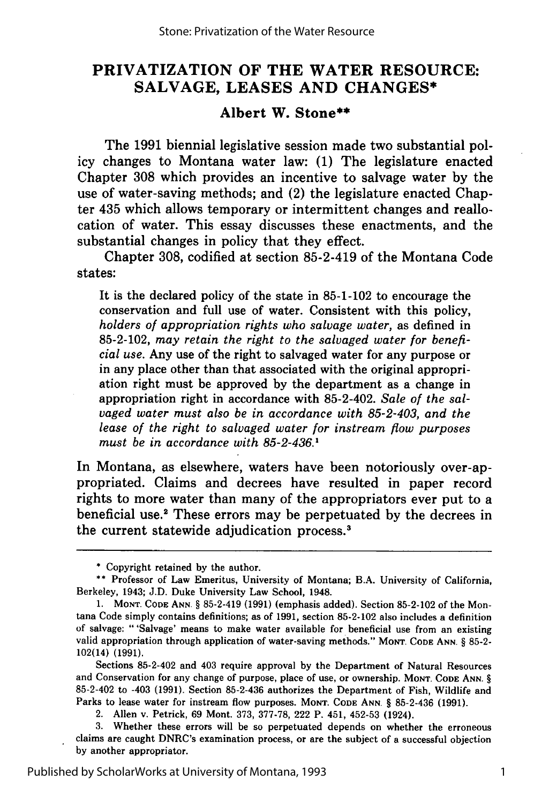### **PRIVATIZATION OF THE WATER RESOURCE: SALVAGE, LEASES AND CHANGES\***

#### **Albert W. Stone\*\***

The **1991** biennial legislative session made two substantial policy changes to Montana water law: **(1)** The legislature enacted Chapter **308** which provides an incentive to salvage water **by** the use of water-saving methods; and (2) the legislature enacted Chapter 435 which allows temporary or intermittent changes and reallocation of water. This essay discusses these enactments, and the substantial changes in policy that they effect.

Chapter **308,** codified at section **85-2-419** of the Montana Code states:

It is the declared policy of the state in **85-1-102** to encourage the conservation and full use of water. Consistent with this policy, *holders of appropriation rights who salvage water,* as defined in 85-2-102, *may retain the right to the salvaged water for beneficial use.* Any use of the right to salvaged water for any purpose or in any place other than that associated with the original appropriation right must be approved by the department as a change in appropriation right in accordance with 85-2-402. *Sale of the salvaged water must also be in accordance with 85-2-403, and the lease of the right to salvaged water for instream flow purposes must be in accordance with* 85-2-436.1

In Montana, as elsewhere, waters have been notoriously over-appropriated. Claims and decrees have resulted in paper record rights to more water than many of the appropriators ever put to a beneficial use.2 These errors may be perpetuated by the decrees in the current statewide adjudication process. <sup>3</sup>

2. Allen v. Petrick, 69 Mont. 373, 377-78, 222 P. 451, 452-53 (1924).

<sup>\*</sup> Copyright retained by the author.

<sup>\*\*</sup> Professor of Law Emeritus, University of Montana; B.A. University of California, Berkeley, 1943; J.D. Duke University Law School, 1948.

**<sup>1.</sup> MONT. CODE ANN. §** 85-2-419 (1991) (emphasis added). Section 85-2-102 of the Montana Code simply contains definitions; as of 1991, section 85-2-102 also includes a definition of salvage: "'Salvage' means to make water available for beneficial use from an existing valid appropriation through application of water-saving methods." MONT. CODE ANN. § 85-2-102(14) (1991).

Sections 85-2-402 and 403 require approval by the Department of Natural Resources and Conservation for any change of purpose, place of use, or ownership. **MONT. CODE ANN.** § 85-2-402 to -403 (1991). Section 85-2-436 authorizes the Department of Fish, Wildlife and Parks to lease water for instream flow purposes. **MONT. CODE ANN.** § 85-2-436 (1991).

<sup>3.</sup> Whether these errors will be so perpetuated depends on whether the erroneous claims are caught DNRC's examination process, or are the subject of a successful objection by another appropriator.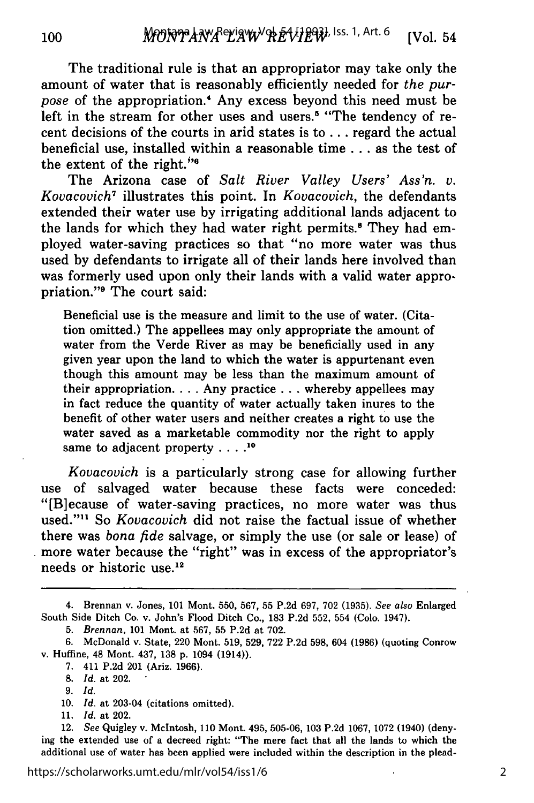The traditional rule is that an appropriator may take only the amount of water that is reasonably efficiently needed for *the pur*pose of the appropriation.<sup>4</sup> Any excess beyond this need must be left in the stream for other uses and users.<sup>5</sup> "The tendency of recent decisions of the courts in arid states is to ... regard the actual beneficial use, installed within a reasonable time **...** as the test of the extent of the right."e

The Arizona case of *Salt River Valley Users' Ass'n. v. Kovacovich7* illustrates this point. In *Kovacovich,* the defendants extended their water use by irrigating additional lands adjacent to the lands for which they had water right permits.<sup>8</sup> They had employed water-saving practices so that "no more water was thus used by defendants to irrigate all of their lands here involved than was formerly used upon only their lands with a valid water appropriation."9 The court said:

Beneficial use is the measure and limit to the use of water. (Citation omitted.) The appellees may only appropriate the amount of water from the Verde River as may be beneficially used in any given year upon the land to which the water is appurtenant even though this amount may be less than the maximum amount of their appropriation **....** Any practice **...** whereby appellees may in fact reduce the quantity of water actually taken inures to the benefit of other water users and neither creates a right to use the water saved as a marketable commodity nor the right to apply same to adjacent property **.... 1o**

*Kovacovich* is a particularly strong case for allowing further use of salvaged water because these facts were conceded: "[B]ecause of water-saving practices, no more water was thus used."'1 So *Kovacovich* did not raise the factual issue of whether there was *bona fide* salvage, or simply the use (or sale or lease) of more water because the "right" was in excess of the appropriator's needs or historic use.<sup>12</sup>

5. *Brennan,* 101 Mont. at 567, 55 P.2d at 702.

100

11. *Id.* at 202.

12. *See* Quigley v. McIntosh, 110 Mont. 495, 505-06, 103 P.2d 1067, 1072 (1940) (denying the extended use of a decreed right: "The mere fact that all the lands to which the additional use of water has been applied were included within the description in the plead-

<sup>4.</sup> Brennan v. Jones, 101 Mont. 550, 567, 55 P.2d 697, 702 (1935). *See also* Enlarged South Side Ditch Co. v. John's Flood Ditch Co., 183 P.2d 552, 554 (Colo. 1947).

<sup>6.</sup> McDonald v. State, 220 Mont. 519, 529, 722 P.2d 598, 604 (1986) (quoting Conrow v. Huffine, 48 Mont. 437, 138 p. 1094 (1914)).

<sup>7. 411</sup> P.2d 201 (Ariz. 1966).

<sup>8.</sup> *Id.* at 202.

**<sup>9.</sup>** *Id.*

<sup>10.</sup> *Id.* at 203-04 (citations omitted).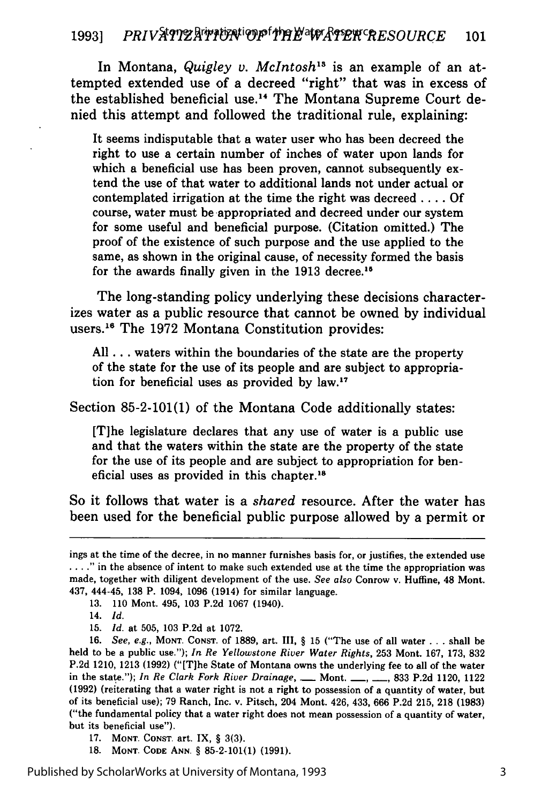In Montana, *Quigley v. McIntosh"* is an example of an attempted extended use of a decreed "right" that was in excess of the established beneficial use.14 The Montana Supreme Court denied this attempt and followed the traditional rule, explaining:

It seems indisputable that a water user who has been decreed the right to use a certain number of inches of water upon lands for which a beneficial use has been proven, cannot subsequently extend the use of that water to additional lands not under actual or contemplated irrigation at the time the right was decreed .... Of course, water must be appropriated and decreed under our system for some useful and beneficial purpose. (Citation omitted.) The proof of the existence of such purpose and the use applied to the same, as shown in the original cause, of necessity formed the basis for the awards finally given in the  $1913$  decree.<sup>15</sup>

The long-standing policy underlying these decisions characterizes water as a public resource that cannot be owned by individual users.<sup>16</sup> The 1972 Montana Constitution provides:

All... waters within the boundaries of the state are the property of the state for the use of its people and are subject to appropriation for beneficial uses as provided by law.17

Section 85-2-101(1) of the Montana Code additionally states:

[T]he legislature declares that any use of water is a public use and that the waters within the state are the property of the state for the use of its people and are subject to appropriation for beneficial uses as provided in this chapter.'<sup>8</sup>

So it follows that water is a *shared* resource. After the water has been used for the beneficial public purpose allowed **by** a permit or

- 13. 110 Mont. 495, 103 P.2d 1067 (1940).
- 14. *Id.*
- 15. *Id.* at 505, 103 P.2d at 1072.

- **17. MONT. CONST.** art. IX, § 3(3).
- **18. MONT. CODE ANN. §** 85-2-101(1) (1991).

ings at the time of the decree, in no manner furnishes basis for, or justifies, the extended use ...." in the absence of intent to make such extended use at the time the appropriation was made, together with diligent development of the use. *See also* Conrow v. Huffine, 48 Mont. 437, 444-45, **138** P. 1094, **1096** (1914) for similar language.

<sup>16.</sup> *See, e.g.,* MONT. CONST. of 1889, art. III, § 15 ("The use of all water ... shall be held to be a public use."); *In Re Yellowstone River Water Rights,* 253 Mont. 167, 173, 832 **P.2d** 1210, 1213 **(1992)** ("[T]he State of Montana owns the underlying fee to all of the water in the state."); *In Re Clark Fork River Drainage,* **-** Mont. **-, -, 833 P.2d** 1120, 1122 **(1992)** (reiterating that a water right is not a right to possession of a quantity of water, but of its beneficial use); **79** Ranch, Inc. v. Pitsch, 204 Mont. 426, 433, **666 P.2d 215, 218 (1983)** ("the fundamental policy that a water right does not mean possession of a quantity of water, but its beneficial use").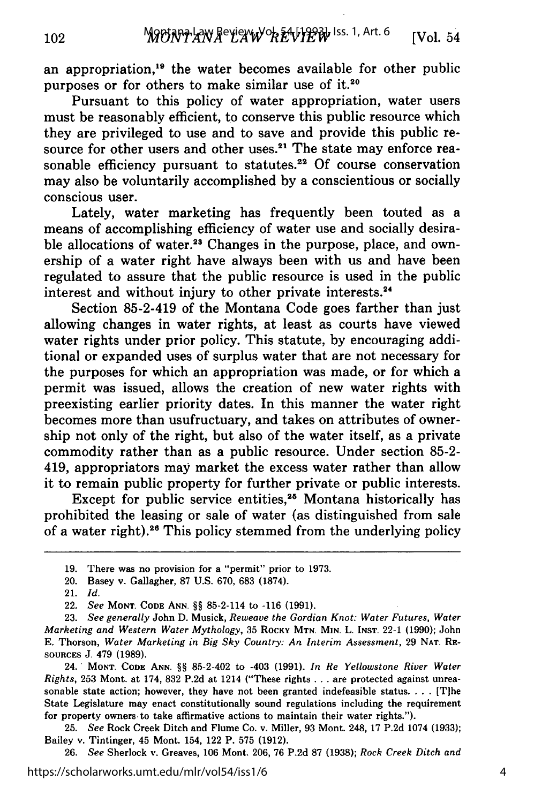an appropriation,<sup>19</sup> the water becomes available for other public purposes or for others to make similar use of it.20

Pursuant to this policy of water appropriation, water users must be reasonably efficient, to conserve this public resource which they are privileged to use and to save and provide this public resource for other users and other uses.<sup>21</sup> The state may enforce reasonable efficiency pursuant to statutes.<sup>22</sup> Of course conservation may also be voluntarily accomplished by a conscientious or socially conscious user.

Lately, water marketing has frequently been touted as a means of accomplishing efficiency of water use and socially desirable allocations of water.<sup>23</sup> Changes in the purpose, place, and ownership of a water right have always been with us and have been regulated to assure that the public resource is used in the public interest and without injury to other private interests.2"

Section 85-2-419 of the Montana Code goes farther than just allowing changes in water rights, at least as courts have viewed water rights under prior policy. This statute, by encouraging additional or expanded uses of surplus water that are not necessary for the purposes for which an appropriation was made, or for which a permit was issued, allows the creation of new water rights with preexisting earlier priority dates. In this manner the water right becomes more than usufructuary, and takes on attributes of ownership not only of the right, but also of the water itself, as a private commodity rather than as a public resource. Under section 85-2- 419, appropriators may market the excess water rather than allow it to remain public property for further private or public interests.

Except for public service entities,<sup>25</sup> Montana historically has prohibited the leasing or sale of water (as distinguished from sale of a water right).26 This policy stemmed from the underlying policy

26. *See* Sherlock v. Greaves, 106 Mont. 206, 76 P.2d 87 (1938); *Rock Creek Ditch and*

<sup>19.</sup> There was no provision for a "permit" prior to 1973.

<sup>20.</sup> Basey v. Gallagher, 87 U.S. 670, 683 (1874).

<sup>21.</sup> *Id.*

<sup>22.</sup> *See* **MONT. CODE** ANN. §§ 85-2-114 to -116 (1991).

<sup>23.</sup> *See generally* John D. Musick, *Reweave the Gordian Knot: Water Futures, Water Marketing and Western Water Mythology,* 35 ROCKY **MTN. MIN.** L. **INST.** 22-1 (1990); John E. Thorson, *Water Marketing in Big Sky Country: An Interim Assessment,* 29 **NAT.** RE-**SOURCES** J. 479 (1989).

<sup>24.</sup> **MONT. CODE ANN.** §§ 85-2-402 to -403 (1991). *In Re Yellowstone River Water Rights,* 253 Mont. at 174, 832 P.2d at 1214 ("These rights . .. are protected against unreasonable state action; however, they have not been granted indefeasible status **....** [T]he State Legislature may enact constitutionally sound regulations including the requirement for property owners-to take affirmative actions to maintain their water rights.").

<sup>25.</sup> *See* Rock Creek Ditch and Flume Co. v. Miller, 93 Mont. 248, 17 P.2d 1074 (1933); Bailey v. Tintinger, 45 Mont. 154, 122 P. 575 (1912).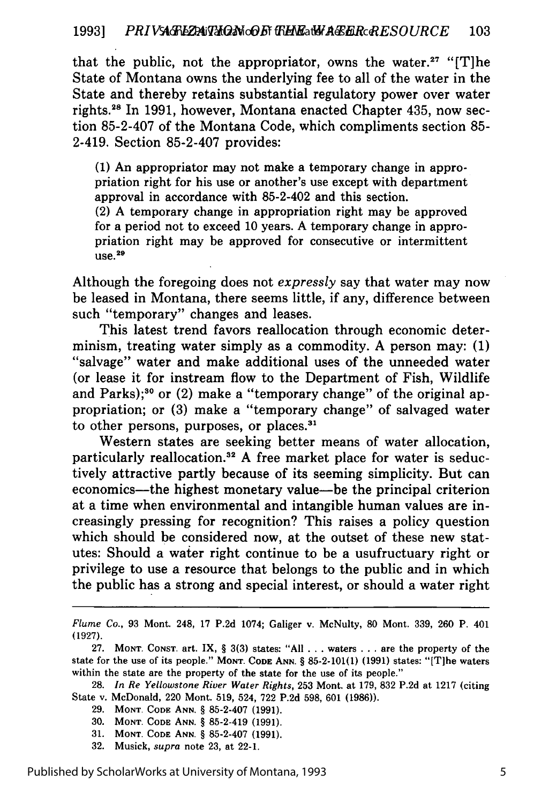that the public, not the appropriator, owns the water.<sup>27</sup> "[T]he State of Montana owns the underlying fee to all of the water in the State and thereby retains substantial regulatory power over water rights.<sup>28</sup> In 1991, however, Montana enacted Chapter 435, now section 85-2-407 of the Montana Code, which compliments section 85- 2-419. Section 85-2-407 provides:

(1) An appropriator may not make a temporary change in appropriation right for his use or another's use except with department approval in accordance with 85-2-402 and this section.

(2) A temporary change in appropriation right may be approved for a period not to exceed 10 years. A temporary change in appropriation right may be approved for consecutive or intermittent  $u$ se. $^{29}$ 

Although the foregoing does not *expressly* say that water may now be leased in Montana, there seems little, if any, difference between such "temporary" changes and leases.

This latest trend favors reallocation through economic determinism, treating water simply as a commodity. A person may: (1) "salvage" water and make additional uses of the unneeded water (or lease it for instream flow to the Department of Fish, Wildlife and Parks);<sup>30</sup> or (2) make a "temporary change" of the original appropriation; or (3) make a "temporary change" of salvaged water to other persons, purposes, or places.<sup>31</sup>

Western states are seeking better means of water allocation, particularly reallocation.<sup>32</sup> A free market place for water is seductively attractive partly because of its seeming simplicity. But can economics—the highest monetary value—be the principal criterion at a time when environmental and intangible human values are increasingly pressing for recognition? This raises a policy question which should be considered now, at the outset of these new statutes: Should a water right continue to be a usufructuary right or privilege to use a resource that belongs to the public and in which the public has a strong and special interest, or should a water right

- 29. **MONT. CODE ANN.** § 85-2-407 (1991).
- 30. **MONT. CODE ANN.** § 85-2-419 (1991).
- 31. **MONT. CODE ANN.** § 85-2-407 (1991).
- 32. Musick, *supra* note 23, at 22-1.

*Flume Co.,* 93 Mont. 248, 17 P.2d 1074; Galiger v. McNulty, 80 Mont. 339, 260 P. 401 (1927).

<sup>27.</sup> MONT. CONST. art. IX, § 3(3) states: "All ... waters .. .are the property of the state for the use of its people." MONT. CODE ANN. § 85-2-101(1) (1991) states: "[Tihe waters within the state are the property of the state for the use of its people."

<sup>28.</sup> *In Re Yellowstone River Water Rights,* 253 Mont. at 179, 832 P.2d at 1217 (citing State v. McDonald, 220 Mont. 519, 524, 722 P.2d 598, 601 (1986)).